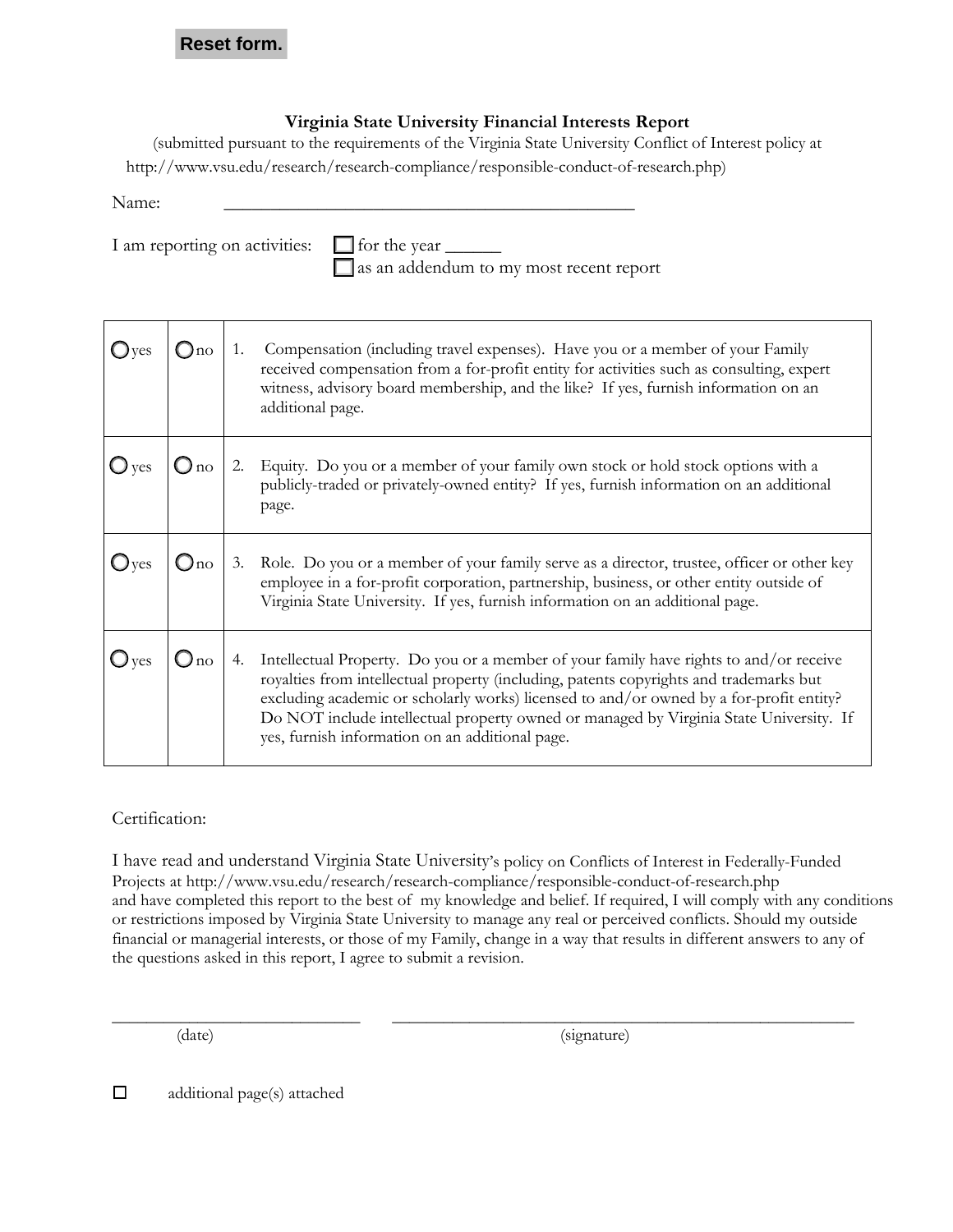## **Reset form.**

## **Virginia State University Financial Interests Report**

(submitted pursuant to the requirements of the Virginia State University Conflict of Interest policy at http://www.vsu.edu/research[/research-compliance/responsible-conduct-of-research.](http://www.vsu.edu/research/research-compliance/responsible-conduct-of-research.php)php) )

Name: \_\_\_\_\_\_\_\_\_\_\_\_\_\_\_\_\_\_\_\_\_\_\_\_\_\_\_\_\_\_\_\_\_\_\_\_\_\_\_\_\_\_\_\_

I am reporting on activities:  $\Box$  for the year  $\Box$ 

as an addendum to my most recent report

|                                            | 1. | Compensation (including travel expenses). Have you or a member of your Family<br>received compensation from a for-profit entity for activities such as consulting, expert<br>witness, advisory board membership, and the like? If yes, furnish information on an<br>additional page.                                                                                                                                        |
|--------------------------------------------|----|-----------------------------------------------------------------------------------------------------------------------------------------------------------------------------------------------------------------------------------------------------------------------------------------------------------------------------------------------------------------------------------------------------------------------------|
| $\bigcirc$ yes $\bigcirc$ no $\bigcirc$ 2. |    | 2. Equity. Do you or a member of your family own stock or hold stock options with a<br>publicly-traded or privately-owned entity? If yes, furnish information on an additional<br>page.                                                                                                                                                                                                                                     |
|                                            |    | Oyes   Ono   3. Role. Do you or a member of your family serve as a director, trustee, officer or other key employee in a for-profit corporation, partnership, business, or other entity outside of<br>Virginia State University. If yes, furnish information on an additional page.                                                                                                                                         |
| $1^{\text{Oyes}}$                          |    | 4. Intellectual Property. Do you or a member of your family have rights to and/or receive<br>royalties from intellectual property (including, patents copyrights and trademarks but<br>excluding academic or scholarly works) licensed to and/or owned by a for-profit entity?<br>Do NOT include intellectual property owned or managed by Virginia State University. If<br>yes, furnish information on an additional page. |

## Certification:

I have read and understand Virginia State University's policy on Conflicts of Interest in Federally-Funded Projects at <http://www.vsu.edu/research/research-compliance/responsible-conduct-of-research.php> and have completed this report to the best of my knowledge and belief. If required, I will comply with any conditions or restrictions imposed by Virginia State University to manage any real or perceived conflicts. Should my outside financial or managerial interests, or those of my Family, change in a way that results in different answers to any of the questions asked in this report, I agree to submit a revision.

\_\_\_\_\_\_\_\_\_\_\_\_\_\_\_\_\_\_\_\_\_\_\_\_\_\_\_\_\_ \_\_\_\_\_\_\_\_\_\_\_\_\_\_\_\_\_\_\_\_\_\_\_\_\_\_\_\_\_\_\_\_\_\_\_\_\_\_\_\_\_\_\_\_\_\_\_\_\_\_\_\_\_\_

(date) (signature)

 $\Box$  additional page(s) attached